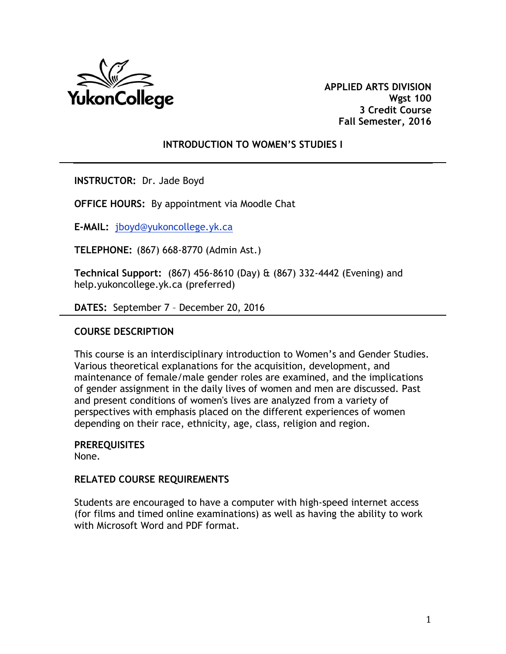

**APPLIED ARTS DIVISION Wgst 100 3 Credit Course Fall Semester, 2016**

### **INTRODUCTION TO WOMEN'S STUDIES I**

**INSTRUCTOR:** Dr. Jade Boyd

**OFFICE HOURS:** By appointment via Moodle Chat

**E-MAIL:** jboyd@yukoncollege.yk.ca

**TELEPHONE:** (867) 668-8770 (Admin Ast.)

**Technical Support:** (867) 456-8610 (Day) & (867) 332-4442 (Evening) and help.yukoncollege.yk.ca (preferred)

**DATES:** September 7 – December 20, 2016

### **COURSE DESCRIPTION**

This course is an interdisciplinary introduction to Women's and Gender Studies. Various theoretical explanations for the acquisition, development, and maintenance of female/male gender roles are examined, and the implications of gender assignment in the daily lives of women and men are discussed. Past and present conditions of women's lives are analyzed from a variety of perspectives with emphasis placed on the different experiences of women depending on their race, ethnicity, age, class, religion and region.

**PREREQUISITES** None.

#### **RELATED COURSE REQUIREMENTS**

Students are encouraged to have a computer with high-speed internet access (for films and timed online examinations) as well as having the ability to work with Microsoft Word and PDF format.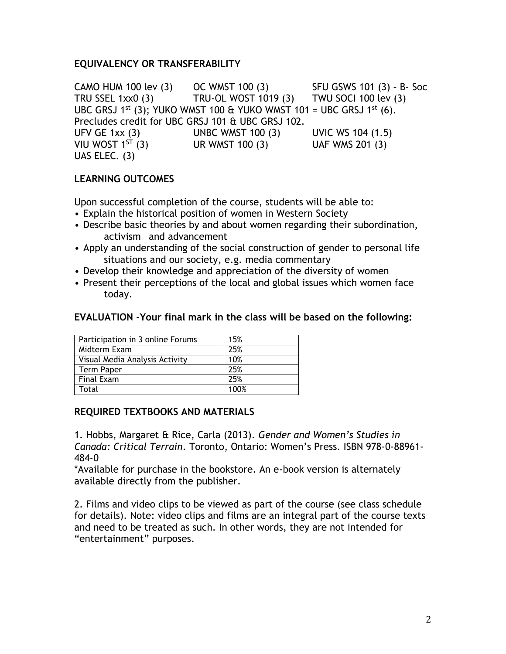### **EQUIVALENCY OR TRANSFERABILITY**

CAMO HUM 100 lev (3) OC WMST 100 (3) SFU GSWS 101 (3) - B- Soc TRU SSEL 1xx0 (3) TRU-OL WOST 1019 (3) TWU SOCI 100 lev (3) UBC GRSJ 1st (3); YUKO WMST 100  $\&$  YUKO WMST 101 = UBC GRSJ 1st (6). Precludes credit for UBC GRSJ 101 & UBC GRSJ 102. UFV GE 1xx (3) UNBC WMST 100 (3) UVIC WS 104 (1.5) VIU WOST  $1^{ST}$  (3) UR WMST 100 (3) UAF WMS 201 (3) UAS ELEC. (3)

#### **LEARNING OUTCOMES**

Upon successful completion of the course, students will be able to:

- Explain the historical position of women in Western Society
- Describe basic theories by and about women regarding their subordination, activism and advancement
- Apply an understanding of the social construction of gender to personal life situations and our society, e.g. media commentary
- Develop their knowledge and appreciation of the diversity of women
- Present their perceptions of the local and global issues which women face today.

#### **EVALUATION -Your final mark in the class will be based on the following:**

| Participation in 3 online Forums | 15%  |
|----------------------------------|------|
| Midterm Exam                     | 25%  |
| Visual Media Analysis Activity   | 10%  |
| <b>Term Paper</b>                | 25%  |
| Final Exam                       | 25%  |
| Fotal                            | 100% |

#### **REQUIRED TEXTBOOKS AND MATERIALS**

1. Hobbs, Margaret & Rice, Carla (2013). *Gender and Women's Studies in Canada: Critical Terrain*. Toronto, Ontario: Women's Press. ISBN 978-0-88961- 484-0

\*Available for purchase in the bookstore. An e-book version is alternately available directly from the publisher.

2. Films and video clips to be viewed as part of the course (see class schedule for details). Note: video clips and films are an integral part of the course texts and need to be treated as such. In other words, they are not intended for "entertainment" purposes.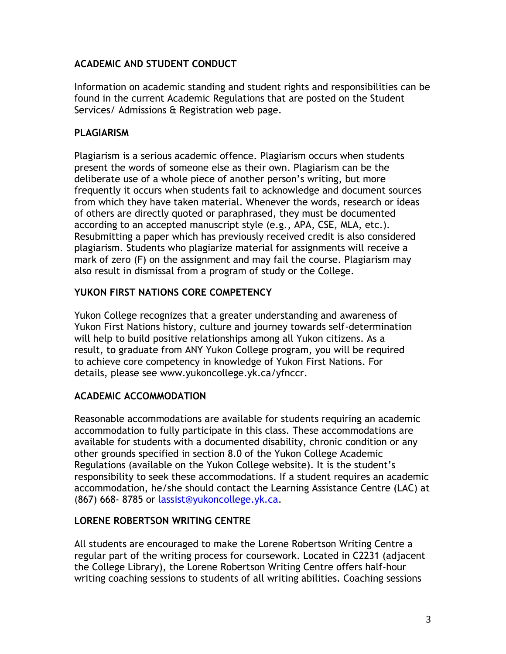# **ACADEMIC AND STUDENT CONDUCT**

Information on academic standing and student rights and responsibilities can be found in the current Academic Regulations that are posted on the Student Services/ Admissions & Registration web page.

# **PLAGIARISM**

Plagiarism is a serious academic offence. Plagiarism occurs when students present the words of someone else as their own. Plagiarism can be the deliberate use of a whole piece of another person's writing, but more frequently it occurs when students fail to acknowledge and document sources from which they have taken material. Whenever the words, research or ideas of others are directly quoted or paraphrased, they must be documented according to an accepted manuscript style (e.g., APA, CSE, MLA, etc.). Resubmitting a paper which has previously received credit is also considered plagiarism. Students who plagiarize material for assignments will receive a mark of zero (F) on the assignment and may fail the course. Plagiarism may also result in dismissal from a program of study or the College.

# **YUKON FIRST NATIONS CORE COMPETENCY**

Yukon College recognizes that a greater understanding and awareness of Yukon First Nations history, culture and journey towards self-determination will help to build positive relationships among all Yukon citizens. As a result, to graduate from ANY Yukon College program, you will be required to achieve core competency in knowledge of Yukon First Nations. For details, please see [www.yukoncollege.yk.ca/yfnccr.](http://www.yukoncollege.yk.ca/yfnccr)

### **ACADEMIC ACCOMMODATION**

Reasonable accommodations are available for students requiring an academic accommodation to fully participate in this class. These accommodations are available for students with a documented disability, chronic condition or any other grounds specified in section 8.0 of the Yukon College Academic Regulations (available on the Yukon College website). It is the student's responsibility to seek these accommodations. If a student requires an academic accommodation, he/she should contact the Learning Assistance Centre (LAC) at (867) 668- 8785 or lassist@yukoncollege.yk.ca.

### **LORENE ROBERTSON WRITING CENTRE**

All students are encouraged to make the Lorene Robertson Writing Centre a regular part of the writing process for coursework. Located in C2231 (adjacent the College Library), the Lorene Robertson Writing Centre offers half-hour writing coaching sessions to students of all writing abilities. Coaching sessions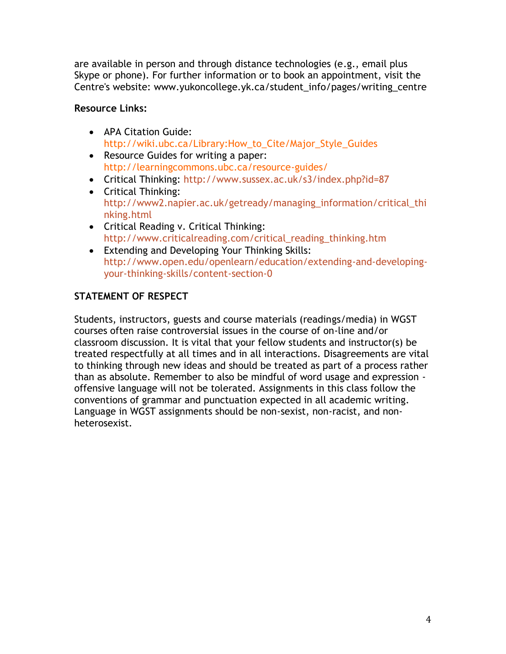are available in person and through distance technologies (e.g., email plus Skype or phone). For further information or to book an appointment, visit the Centre's website: www.yukoncollege.yk.ca/student\_info/pages/writing\_centre

# **Resource Links:**

- APA Citation Guide: http://wiki.ubc.ca/Library:How\_to\_Cite/Major\_Style\_Guides
- Resource Guides for writing a paper: http://learningcommons.ubc.ca/resource-guides/
- Critical Thinking:<http://www.sussex.ac.uk/s3/index.php?id=87>
- Critical Thinking: [http://www2.napier.ac.uk/getready/managing\\_information/critical\\_thi](http://www2.napier.ac.uk/getready/managing_information/critical_thinking.html) [nking.html](http://www2.napier.ac.uk/getready/managing_information/critical_thinking.html)
- Critical Reading v. Critical Thinking: [http://www.criticalreading.com/critical\\_reading\\_thinking.htm](http://www.criticalreading.com/critical_reading_thinking.htm)
- Extending and Developing Your Thinking Skills: [http://www.open.edu/openlearn/education/extending-and-developing](http://www.open.edu/openlearn/education/extending-and-developing-your-thinking-skills/content-section-0)[your-thinking-skills/content-section-0](http://www.open.edu/openlearn/education/extending-and-developing-your-thinking-skills/content-section-0)

# **STATEMENT OF RESPECT**

Students, instructors, guests and course materials (readings/media) in WGST courses often raise controversial issues in the course of on-line and/or classroom discussion. It is vital that your fellow students and instructor(s) be treated respectfully at all times and in all interactions. Disagreements are vital to thinking through new ideas and should be treated as part of a process rather than as absolute. Remember to also be mindful of word usage and expression offensive language will not be tolerated. Assignments in this class follow the conventions of grammar and punctuation expected in all academic writing. Language in WGST assignments should be non-sexist, non-racist, and nonheterosexist.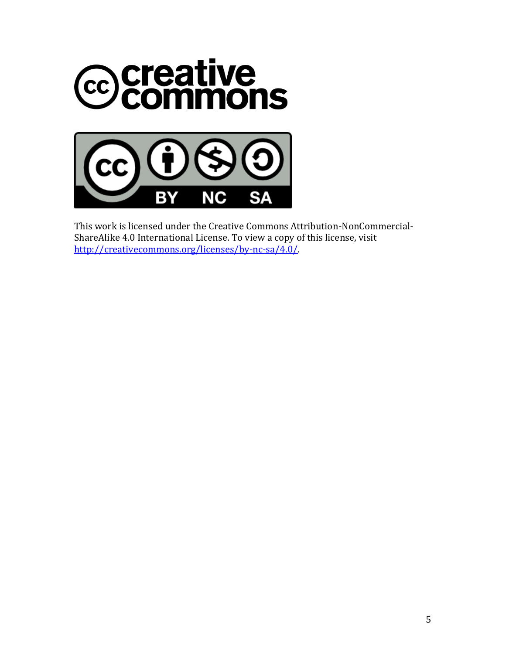

This work is licensed under the Creative Commons Attribution-NonCommercial-ShareAlike 4.0 International License. To view a copy of this license, visit [http://creativecommons.org/licenses/by-nc-sa/4.0/.](http://creativecommons.org/licenses/by-nc-sa/4.0/)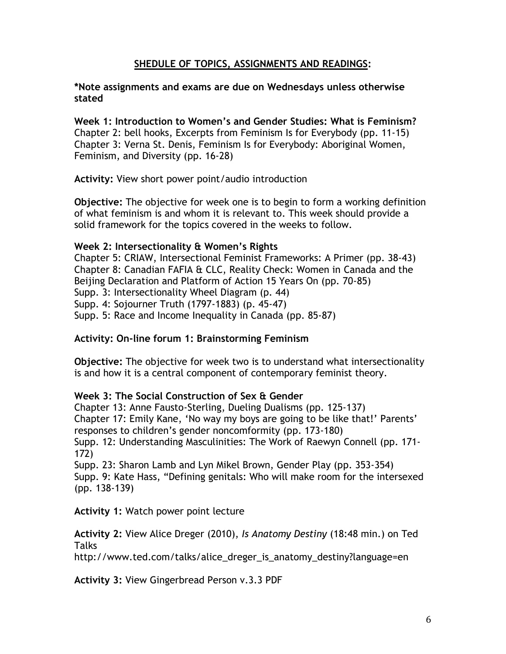### **SHEDULE OF TOPICS, ASSIGNMENTS AND READINGS:**

**\*Note assignments and exams are due on Wednesdays unless otherwise stated**

**Week 1: Introduction to Women's and Gender Studies: What is Feminism?**  Chapter 2: bell hooks, Excerpts from Feminism Is for Everybody (pp. 11-15) Chapter 3: Verna St. Denis, Feminism Is for Everybody: Aboriginal Women, Feminism, and Diversity (pp. 16-28)

**Activity:** View short power point/audio introduction

**Objective:** The objective for week one is to begin to form a working definition of what feminism is and whom it is relevant to. This week should provide a solid framework for the topics covered in the weeks to follow.

#### **Week 2: Intersectionality & Women's Rights**

Chapter 5: CRIAW, Intersectional Feminist Frameworks: A Primer (pp. 38-43) Chapter 8: Canadian FAFIA & CLC, Reality Check: Women in Canada and the Beijing Declaration and Platform of Action 15 Years On (pp. 70-85) Supp. 3: Intersectionality Wheel Diagram (p. 44) Supp. 4: Sojourner Truth (1797-1883) (p. 45-47) Supp. 5: Race and Income Inequality in Canada (pp. 85-87)

#### **Activity: On-line forum 1: Brainstorming Feminism**

**Objective:** The objective for week two is to understand what intersectionality is and how it is a central component of contemporary feminist theory.

#### **Week 3: The Social Construction of Sex & Gender**

Chapter 13: Anne Fausto-Sterling, Dueling Dualisms (pp. 125-137) Chapter 17: Emily Kane, 'No way my boys are going to be like that!' Parents' responses to children's gender noncomformity (pp. 173-180) Supp. 12: Understanding Masculinities: The Work of Raewyn Connell (pp. 171- 172)

Supp. 23: Sharon Lamb and Lyn Mikel Brown, Gender Play (pp. 353-354) Supp. 9: Kate Hass, "Defining genitals: Who will make room for the intersexed (pp. 138-139)

**Activity 1:** Watch power point lecture

**Activity 2:** View Alice Dreger (2010), *Is Anatomy Destiny* (18:48 min.) on Ted **Talks** 

http://www.ted.com/talks/alice\_dreger\_is\_anatomy\_destiny?language=en

**Activity 3:** View Gingerbread Person v.3.3 PDF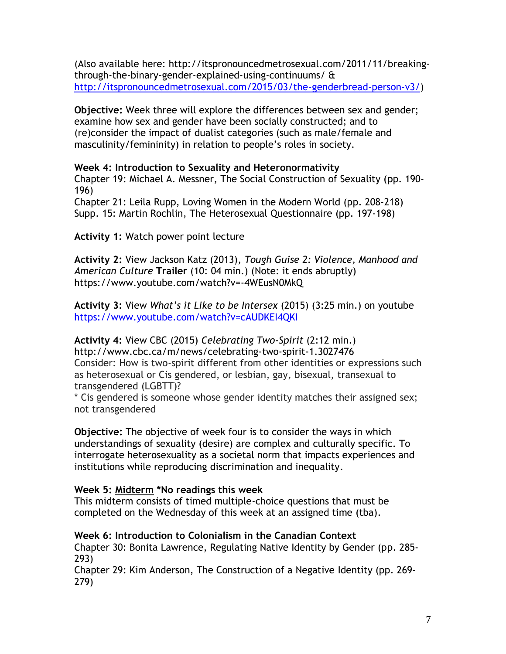(Also available here: http://itspronouncedmetrosexual.com/2011/11/breakingthrough-the-binary-gender-explained-using-continuums/ & [http://itspronouncedmetrosexual.com/2015/03/the-genderbread-person-v3/\)](http://itspronouncedmetrosexual.com/2015/03/the-genderbread-person-v3/)

**Objective:** Week three will explore the differences between sex and gender; examine how sex and gender have been socially constructed; and to (re)consider the impact of dualist categories (such as male/female and masculinity/femininity) in relation to people's roles in society.

### **Week 4: Introduction to Sexuality and Heteronormativity**

Chapter 19: Michael A. Messner, The Social Construction of Sexuality (pp. 190- 196)

Chapter 21: Leila Rupp, Loving Women in the Modern World (pp. 208-218) Supp. 15: Martin Rochlin, The Heterosexual Questionnaire (pp. 197-198)

**Activity 1:** Watch power point lecture

**Activity 2:** View Jackson Katz (2013), *Tough Guise 2: Violence, Manhood and American Culture* **Trailer** (10: 04 min.) (Note: it ends abruptly) https://www.youtube.com/watch?v=-4WEusN0MkQ

**Activity 3:** View *What's it Like to be Intersex* (2015) (3:25 min.) on youtube <https://www.youtube.com/watch?v=cAUDKEI4QKI>

# **Activity 4:** View CBC (2015) *Celebrating Two-Spirit* (2:12 min.)

http://www.cbc.ca/m/news/celebrating-two-spirit-1.3027476 Consider: How is two-spirit different from other identities or expressions such as heterosexual or Cis gendered, or lesbian, gay, bisexual, transexual to transgendered (LGBTT)?

\* Cis gendered is someone whose gender identity matches their assigned sex; not transgendered

**Objective:** The objective of week four is to consider the ways in which understandings of sexuality (desire) are complex and culturally specific. To interrogate heterosexuality as a societal norm that impacts experiences and institutions while reproducing discrimination and inequality.

#### **Week 5: Midterm \*No readings this week**

This midterm consists of timed multiple-choice questions that must be completed on the Wednesday of this week at an assigned time (tba).

### **Week 6: Introduction to Colonialism in the Canadian Context**

Chapter 30: Bonita Lawrence, Regulating Native Identity by Gender (pp. 285- 293)

Chapter 29: Kim Anderson, The Construction of a Negative Identity (pp. 269- 279)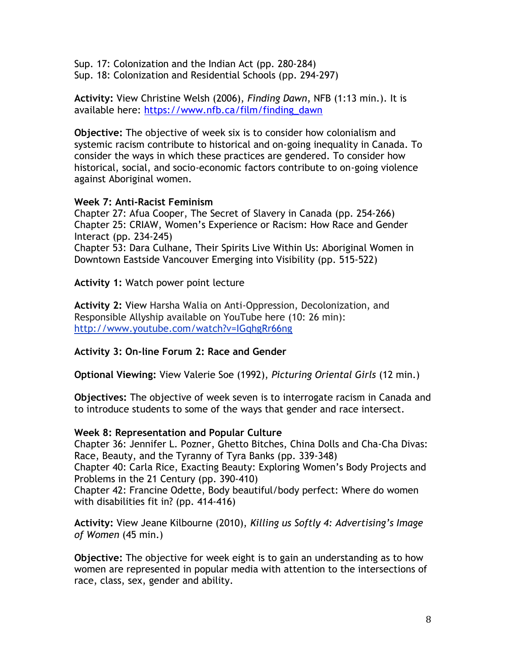Sup. 17: Colonization and the Indian Act (pp. 280-284) Sup. 18: Colonization and Residential Schools (pp. 294-297)

**Activity:** View Christine Welsh (2006), *Finding Dawn*, NFB (1:13 min.). It is available here: [https://www.nfb.ca/film/finding\\_dawn](https://www.nfb.ca/film/finding_dawn)

**Objective:** The objective of week six is to consider how colonialism and systemic racism contribute to historical and on-going inequality in Canada. To consider the ways in which these practices are gendered. To consider how historical, social, and socio-economic factors contribute to on-going violence against Aboriginal women.

### **Week 7: Anti-Racist Feminism**

Chapter 27: Afua Cooper, The Secret of Slavery in Canada (pp. 254-266) Chapter 25: CRIAW, Women's Experience or Racism: How Race and Gender Interact (pp. 234-245) Chapter 53: Dara Culhane, Their Spirits Live Within Us: Aboriginal Women in Downtown Eastside Vancouver Emerging into Visibility (pp. 515-522)

**Activity 1:** Watch power point lecture

**Activity 2:** View Harsha Walia on Anti-Oppression, Decolonization, and Responsible Allyship available on YouTube here (10: 26 min): <http://www.youtube.com/watch?v=IGqhgRr66ng>

### **Activity 3: On-line Forum 2: Race and Gender**

**Optional Viewing:** View Valerie Soe (1992), *Picturing Oriental Girls* (12 min.)

**Objectives:** The objective of week seven is to interrogate racism in Canada and to introduce students to some of the ways that gender and race intersect.

### **Week 8: Representation and Popular Culture**

Chapter 36: Jennifer L. Pozner, Ghetto Bitches, China Dolls and Cha-Cha Divas: Race, Beauty, and the Tyranny of Tyra Banks (pp. 339-348) Chapter 40: Carla Rice, Exacting Beauty: Exploring Women's Body Projects and Problems in the 21 Century (pp. 390-410) Chapter 42: Francine Odette, Body beautiful/body perfect: Where do women with disabilities fit in? (pp. 414-416)

**Activity:** View Jeane Kilbourne (2010), *Killing us Softly 4: Advertising's Image of Women* (45 min.)

**Objective:** The objective for week eight is to gain an understanding as to how women are represented in popular media with attention to the intersections of race, class, sex, gender and ability.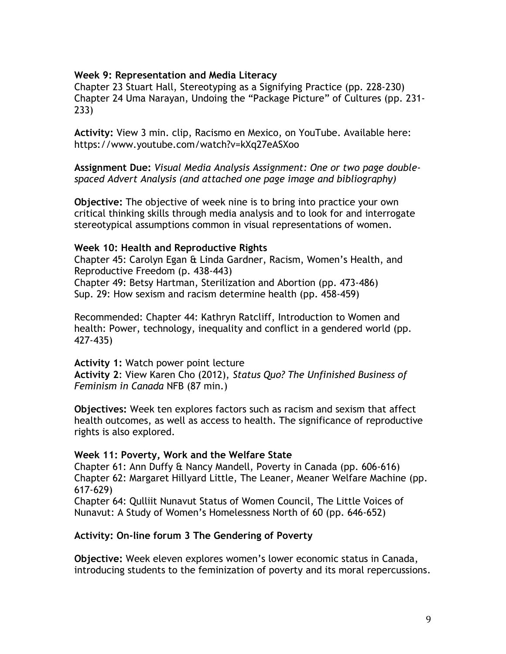#### **Week 9: Representation and Media Literacy**

Chapter 23 Stuart Hall, Stereotyping as a Signifying Practice (pp. 228-230) Chapter 24 Uma Narayan, Undoing the "Package Picture" of Cultures (pp. 231- 233)

**Activity:** View 3 min. clip, Racismo en Mexico, on YouTube. Available here: https://www.youtube.com/watch?v=kXq27eASXoo

**Assignment Due:** *Visual Media Analysis Assignment: One or two page doublespaced Advert Analysis (and attached one page image and bibliography)*

**Objective:** The objective of week nine is to bring into practice your own critical thinking skills through media analysis and to look for and interrogate stereotypical assumptions common in visual representations of women.

#### **Week 10: Health and Reproductive Rights**

Chapter 45: Carolyn Egan & Linda Gardner, Racism, Women's Health, and Reproductive Freedom (p. 438-443) Chapter 49: Betsy Hartman, Sterilization and Abortion (pp. 473-486) Sup. 29: How sexism and racism determine health (pp. 458-459)

Recommended: Chapter 44: Kathryn Ratcliff, Introduction to Women and health: Power, technology, inequality and conflict in a gendered world (pp. 427-435)

**Activity 1:** Watch power point lecture **Activity 2**: View Karen Cho (2012), *Status Quo? The Unfinished Business of Feminism in Canada* NFB (87 min.)

**Objectives:** Week ten explores factors such as racism and sexism that affect health outcomes, as well as access to health. The significance of reproductive rights is also explored.

#### **Week 11: Poverty, Work and the Welfare State**

Chapter 61: Ann Duffy & Nancy Mandell, Poverty in Canada (pp. 606-616) Chapter 62: Margaret Hillyard Little, The Leaner, Meaner Welfare Machine (pp. 617-629)

Chapter 64: Qulliit Nunavut Status of Women Council, The Little Voices of Nunavut: A Study of Women's Homelessness North of 60 (pp. 646-652)

#### **Activity: On-line forum 3 The Gendering of Poverty**

**Objective:** Week eleven explores women's lower economic status in Canada, introducing students to the feminization of poverty and its moral repercussions.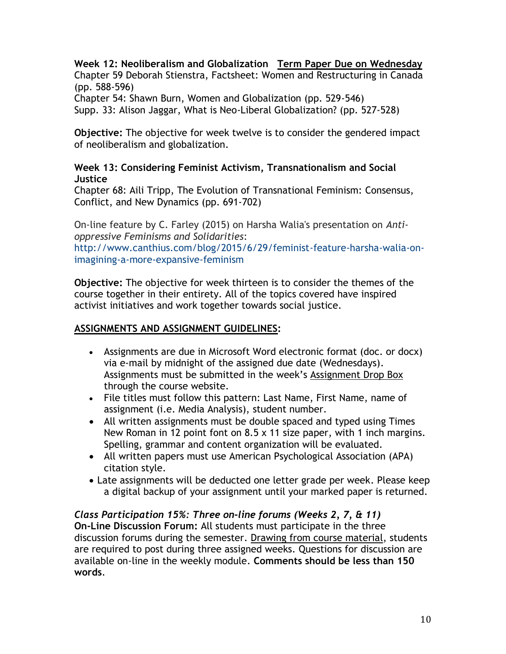#### **Week 12: Neoliberalism and Globalization Term Paper Due on Wednesday** Chapter 59 Deborah Stienstra, Factsheet: Women and Restructuring in Canada

(pp. 588-596)

Chapter 54: Shawn Burn, Women and Globalization (pp. 529-546) Supp. 33: Alison Jaggar, What is Neo-Liberal Globalization? (pp. 527-528)

**Objective:** The objective for week twelve is to consider the gendered impact of neoliberalism and globalization.

### **Week 13: Considering Feminist Activism, Transnationalism and Social Justice**

Chapter 68: Aili Tripp, The Evolution of Transnational Feminism: Consensus, Conflict, and New Dynamics (pp. 691-702)

On-line feature by C. Farley (2015) on Harsha Walia's presentation on *Antioppressive Feminisms and Solidarities*: [http://www.canthius.com/blog/2015/6/29/feminist-feature-harsha-walia-on](http://www.canthius.com/blog/2015/6/29/feminist-feature-harsha-walia-on-imagining-a-more-expansive-feminism)[imagining-a-more-expansive-feminism](http://www.canthius.com/blog/2015/6/29/feminist-feature-harsha-walia-on-imagining-a-more-expansive-feminism)

**Objective:** The objective for week thirteen is to consider the themes of the course together in their entirety. All of the topics covered have inspired activist initiatives and work together towards social justice.

# **ASSIGNMENTS AND ASSIGNMENT GUIDELINES:**

- Assignments are due in Microsoft Word electronic format (doc. or docx) via e-mail by midnight of the assigned due date (Wednesdays). Assignments must be submitted in the week's Assignment Drop Box through the course website.
- File titles must follow this pattern: Last Name, First Name, name of assignment (i.e. Media Analysis), student number.
- All written assignments must be double spaced and typed using Times New Roman in 12 point font on 8.5 x 11 size paper, with 1 inch margins. Spelling, grammar and content organization will be evaluated.
- All written papers must use American Psychological Association (APA) citation style.
- Late assignments will be deducted one letter grade per week. Please keep a digital backup of your assignment until your marked paper is returned.

*Class Participation 15%: Three on-line forums (Weeks 2, 7, & 11)* **On-Line Discussion Forum:** All students must participate in the three discussion forums during the semester. Drawing from course material, students are required to post during three assigned weeks. Questions for discussion are available on-line in the weekly module. **Comments should be less than 150 words**.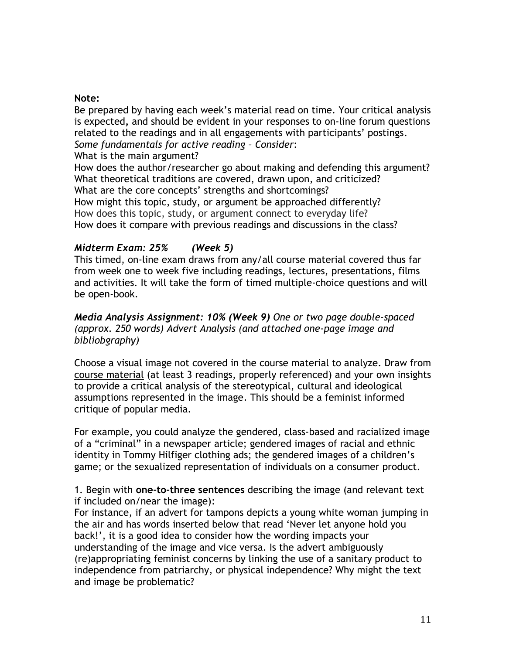### **Note:**

Be prepared by having each week's material read on time. Your critical analysis is expected**,** and should be evident in your responses to on-line forum questions related to the readings and in all engagements with participants' postings. *Some fundamentals for active reading – Consider*:

What is the main argument?

How does the author/researcher go about making and defending this argument? What theoretical traditions are covered, drawn upon, and criticized? What are the core concepts' strengths and shortcomings? How might this topic, study, or argument be approached differently? How does this topic, study, or argument connect to everyday life? How does it compare with previous readings and discussions in the class?

### *Midterm Exam: 25% (Week 5)*

This timed, on-line exam draws from any/all course material covered thus far from week one to week five including readings, lectures, presentations, films and activities. It will take the form of timed multiple-choice questions and will be open-book.

*Media Analysis Assignment: 10% (Week 9) One or two page double-spaced (approx. 250 words) Advert Analysis (and attached one-page image and bibliobgraphy)*

Choose a visual image not covered in the course material to analyze. Draw from course material (at least 3 readings, properly referenced) and your own insights to provide a critical analysis of the stereotypical, cultural and ideological assumptions represented in the image. This should be a feminist informed critique of popular media.

For example, you could analyze the gendered, class-based and racialized image of a "criminal" in a newspaper article; gendered images of racial and ethnic identity in Tommy Hilfiger clothing ads; the gendered images of a children's game; or the sexualized representation of individuals on a consumer product.

1. Begin with **one-to-three sentences** describing the image (and relevant text if included on/near the image):

For instance, if an advert for tampons depicts a young white woman jumping in the air and has words inserted below that read 'Never let anyone hold you back!', it is a good idea to consider how the wording impacts your understanding of the image and vice versa. Is the advert ambiguously (re)appropriating feminist concerns by linking the use of a sanitary product to independence from patriarchy, or physical independence? Why might the text and image be problematic?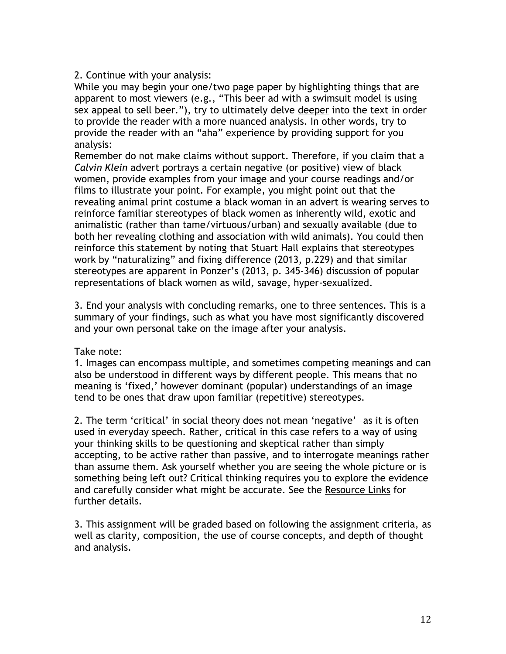### 2. Continue with your analysis:

While you may begin your one/two page paper by highlighting things that are apparent to most viewers (e.g., "This beer ad with a swimsuit model is using sex appeal to sell beer."), try to ultimately delve deeper into the text in order to provide the reader with a more nuanced analysis. In other words, try to provide the reader with an "aha" experience by providing support for you analysis:

Remember do not make claims without support. Therefore, if you claim that a *Calvin Klein* advert portrays a certain negative (or positive) view of black women, provide examples from your image and your course readings and/or films to illustrate your point. For example, you might point out that the revealing animal print costume a black woman in an advert is wearing serves to reinforce familiar stereotypes of black women as inherently wild, exotic and animalistic (rather than tame/virtuous/urban) and sexually available (due to both her revealing clothing and association with wild animals). You could then reinforce this statement by noting that Stuart Hall explains that stereotypes work by "naturalizing" and fixing difference (2013, p.229) and that similar stereotypes are apparent in Ponzer's (2013, p. 345-346) discussion of popular representations of black women as wild, savage, hyper-sexualized.

3. End your analysis with concluding remarks, one to three sentences. This is a summary of your findings, such as what you have most significantly discovered and your own personal take on the image after your analysis.

#### Take note:

1. Images can encompass multiple, and sometimes competing meanings and can also be understood in different ways by different people. This means that no meaning is 'fixed,' however dominant (popular) understandings of an image tend to be ones that draw upon familiar (repetitive) stereotypes.

2. The term 'critical' in social theory does not mean 'negative' –as it is often used in everyday speech. Rather, critical in this case refers to a way of using your thinking skills to be questioning and skeptical rather than simply accepting, to be active rather than passive, and to interrogate meanings rather than assume them. Ask yourself whether you are seeing the whole picture or is something being left out? Critical thinking requires you to explore the evidence and carefully consider what might be accurate. See the Resource Links for further details.

3. This assignment will be graded based on following the assignment criteria, as well as clarity, composition, the use of course concepts, and depth of thought and analysis.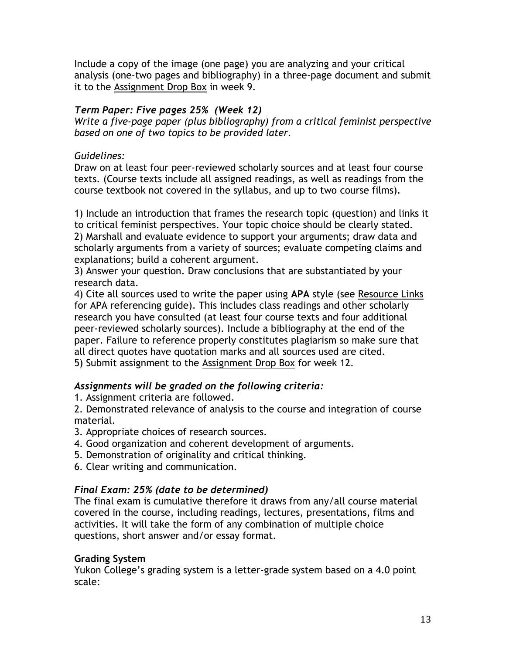Include a copy of the image (one page) you are analyzing and your critical analysis (one-two pages and bibliography) in a three-page document and submit it to the Assignment Drop Box in week 9.

### *Term Paper: Five pages 25% (Week 12)*

*Write a five-page paper (plus bibliography) from a critical feminist perspective based on one of two topics to be provided later.*

## *Guidelines:*

Draw on at least four peer-reviewed scholarly sources and at least four course texts. (Course texts include all assigned readings, as well as readings from the course textbook not covered in the syllabus, and up to two course films).

1) Include an introduction that frames the research topic (question) and links it to critical feminist perspectives. Your topic choice should be clearly stated.

2) Marshall and evaluate evidence to support your arguments; draw data and scholarly arguments from a variety of sources; evaluate competing claims and explanations; build a coherent argument.

3) Answer your question. Draw conclusions that are substantiated by your research data.

4) Cite all sources used to write the paper using **APA** style (see Resource Links for APA referencing guide). This includes class readings and other scholarly research you have consulted (at least four course texts and four additional peer-reviewed scholarly sources). Include a bibliography at the end of the paper. Failure to reference properly constitutes plagiarism so make sure that all direct quotes have quotation marks and all sources used are cited. 5) Submit assignment to the Assignment Drop Box for week 12.

# *Assignments will be graded on the following criteria:*

1. Assignment criteria are followed.

2. Demonstrated relevance of analysis to the course and integration of course material.

- 3. Appropriate choices of research sources.
- 4. Good organization and coherent development of arguments.
- 5. Demonstration of originality and critical thinking.
- 6. Clear writing and communication.

### *Final Exam: 25% (date to be determined)*

The final exam is cumulative therefore it draws from any/all course material covered in the course, including readings, lectures, presentations, films and activities. It will take the form of any combination of multiple choice questions, short answer and/or essay format.

### **Grading System**

Yukon College's grading system is a letter-grade system based on a 4.0 point scale: